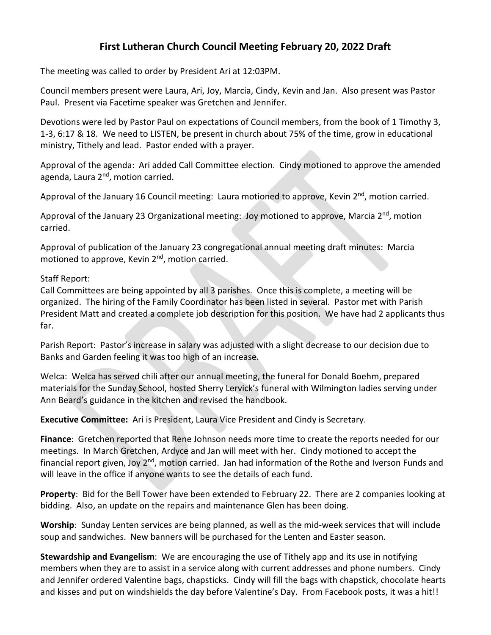## **First Lutheran Church Council Meeting February 20, 2022 Draft**

The meeting was called to order by President Ari at 12:03PM.

Council members present were Laura, Ari, Joy, Marcia, Cindy, Kevin and Jan. Also present was Pastor Paul. Present via Facetime speaker was Gretchen and Jennifer.

Devotions were led by Pastor Paul on expectations of Council members, from the book of 1 Timothy 3, 1-3, 6:17 & 18. We need to LISTEN, be present in church about 75% of the time, grow in educational ministry, Tithely and lead. Pastor ended with a prayer.

Approval of the agenda: Ari added Call Committee election. Cindy motioned to approve the amended agenda, Laura 2<sup>nd</sup>, motion carried.

Approval of the January 16 Council meeting: Laura motioned to approve, Kevin 2<sup>nd</sup>, motion carried.

Approval of the January 23 Organizational meeting: Joy motioned to approve, Marcia 2<sup>nd</sup>, motion carried.

Approval of publication of the January 23 congregational annual meeting draft minutes: Marcia motioned to approve, Kevin 2<sup>nd</sup>, motion carried.

## Staff Report:

Call Committees are being appointed by all 3 parishes. Once this is complete, a meeting will be organized. The hiring of the Family Coordinator has been listed in several. Pastor met with Parish President Matt and created a complete job description for this position. We have had 2 applicants thus far.

Parish Report: Pastor's increase in salary was adjusted with a slight decrease to our decision due to Banks and Garden feeling it was too high of an increase.

Welca: Welca has served chili after our annual meeting, the funeral for Donald Boehm, prepared materials for the Sunday School, hosted Sherry Lervick's funeral with Wilmington ladies serving under Ann Beard's guidance in the kitchen and revised the handbook.

**Executive Committee:** Ari is President, Laura Vice President and Cindy is Secretary.

**Finance**: Gretchen reported that Rene Johnson needs more time to create the reports needed for our meetings. In March Gretchen, Ardyce and Jan will meet with her. Cindy motioned to accept the financial report given, Joy 2<sup>nd</sup>, motion carried. Jan had information of the Rothe and Iverson Funds and will leave in the office if anyone wants to see the details of each fund.

**Property**: Bid for the Bell Tower have been extended to February 22. There are 2 companies looking at bidding. Also, an update on the repairs and maintenance Glen has been doing.

**Worship**: Sunday Lenten services are being planned, as well as the mid-week services that will include soup and sandwiches. New banners will be purchased for the Lenten and Easter season.

**Stewardship and Evangelism**: We are encouraging the use of Tithely app and its use in notifying members when they are to assist in a service along with current addresses and phone numbers. Cindy and Jennifer ordered Valentine bags, chapsticks. Cindy will fill the bags with chapstick, chocolate hearts and kisses and put on windshields the day before Valentine's Day. From Facebook posts, it was a hit!!